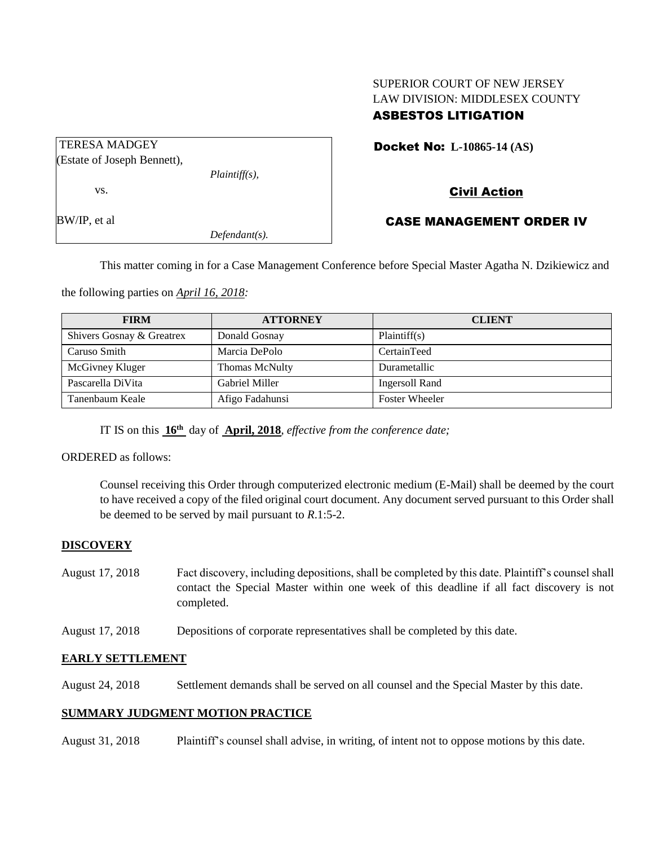# SUPERIOR COURT OF NEW JERSEY LAW DIVISION: MIDDLESEX COUNTY ASBESTOS LITIGATION

| <b>TERESA MADGEY</b>        |                  |  |
|-----------------------------|------------------|--|
| (Estate of Joseph Bennett), |                  |  |
|                             | $Plaintiff(s)$ , |  |
| VS.                         |                  |  |
| BW/IP, et al                |                  |  |
|                             | $Defendant(s)$ . |  |

#### Docket No: **L-10865-14 (AS)**

## Civil Action

### CASE MANAGEMENT ORDER IV

This matter coming in for a Case Management Conference before Special Master Agatha N. Dzikiewicz and

the following parties on *April 16, 2018:*

| <b>FIRM</b>               | <b>ATTORNEY</b>       | <b>CLIENT</b>         |
|---------------------------|-----------------------|-----------------------|
| Shivers Gosnay & Greatrex | Donald Gosnay         | Plaintiff(s)          |
| Caruso Smith              | Marcia DePolo         | CertainTeed           |
| McGivney Kluger           | <b>Thomas McNulty</b> | Durametallic          |
| Pascarella DiVita         | Gabriel Miller        | Ingersoll Rand        |
| Tanenbaum Keale           | Afigo Fadahunsi       | <b>Foster Wheeler</b> |

IT IS on this **16th** day of **April, 2018**, *effective from the conference date;*

ORDERED as follows:

Counsel receiving this Order through computerized electronic medium (E-Mail) shall be deemed by the court to have received a copy of the filed original court document. Any document served pursuant to this Order shall be deemed to be served by mail pursuant to *R*.1:5-2.

### **DISCOVERY**

- August 17, 2018 Fact discovery, including depositions, shall be completed by this date. Plaintiff's counsel shall contact the Special Master within one week of this deadline if all fact discovery is not completed.
- August 17, 2018 Depositions of corporate representatives shall be completed by this date.

### **EARLY SETTLEMENT**

August 24, 2018 Settlement demands shall be served on all counsel and the Special Master by this date.

### **SUMMARY JUDGMENT MOTION PRACTICE**

August 31, 2018 Plaintiff's counsel shall advise, in writing, of intent not to oppose motions by this date.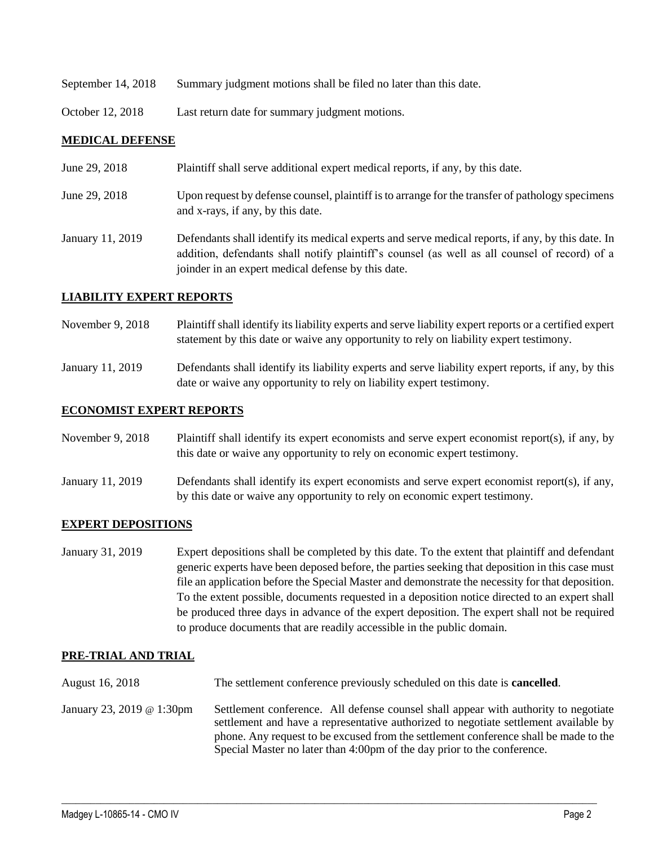- September 14, 2018 Summary judgment motions shall be filed no later than this date.
- October 12, 2018 Last return date for summary judgment motions.

#### **MEDICAL DEFENSE**

| June 29, 2018    | Plaintiff shall serve additional expert medical reports, if any, by this date.                                                                                                                                                                           |
|------------------|----------------------------------------------------------------------------------------------------------------------------------------------------------------------------------------------------------------------------------------------------------|
| June 29, 2018    | Upon request by defense counsel, plaintiff is to arrange for the transfer of pathology specimens<br>and x-rays, if any, by this date.                                                                                                                    |
| January 11, 2019 | Defendants shall identify its medical experts and serve medical reports, if any, by this date. In<br>addition, defendants shall notify plaintiff's counsel (as well as all counsel of record) of a<br>joinder in an expert medical defense by this date. |

#### **LIABILITY EXPERT REPORTS**

November 9, 2018 Plaintiff shall identify its liability experts and serve liability expert reports or a certified expert statement by this date or waive any opportunity to rely on liability expert testimony.

January 11, 2019 Defendants shall identify its liability experts and serve liability expert reports, if any, by this date or waive any opportunity to rely on liability expert testimony.

#### **ECONOMIST EXPERT REPORTS**

November 9, 2018 Plaintiff shall identify its expert economists and serve expert economist report(s), if any, by this date or waive any opportunity to rely on economic expert testimony.

January 11, 2019 Defendants shall identify its expert economists and serve expert economist report(s), if any, by this date or waive any opportunity to rely on economic expert testimony.

#### **EXPERT DEPOSITIONS**

January 31, 2019 Expert depositions shall be completed by this date. To the extent that plaintiff and defendant generic experts have been deposed before, the parties seeking that deposition in this case must file an application before the Special Master and demonstrate the necessity for that deposition. To the extent possible, documents requested in a deposition notice directed to an expert shall be produced three days in advance of the expert deposition. The expert shall not be required to produce documents that are readily accessible in the public domain.

### **PRE-TRIAL AND TRIAL**

- August 16, 2018 The settlement conference previously scheduled on this date is **cancelled**.
- January 23, 2019 @ 1:30pm Settlement conference. All defense counsel shall appear with authority to negotiate settlement and have a representative authorized to negotiate settlement available by phone. Any request to be excused from the settlement conference shall be made to the Special Master no later than 4:00pm of the day prior to the conference.

 $\_$  ,  $\_$  ,  $\_$  ,  $\_$  ,  $\_$  ,  $\_$  ,  $\_$  ,  $\_$  ,  $\_$  ,  $\_$  ,  $\_$  ,  $\_$  ,  $\_$  ,  $\_$  ,  $\_$  ,  $\_$  ,  $\_$  ,  $\_$  ,  $\_$  ,  $\_$  ,  $\_$  ,  $\_$  ,  $\_$  ,  $\_$  ,  $\_$  ,  $\_$  ,  $\_$  ,  $\_$  ,  $\_$  ,  $\_$  ,  $\_$  ,  $\_$  ,  $\_$  ,  $\_$  ,  $\_$  ,  $\_$  ,  $\_$  ,